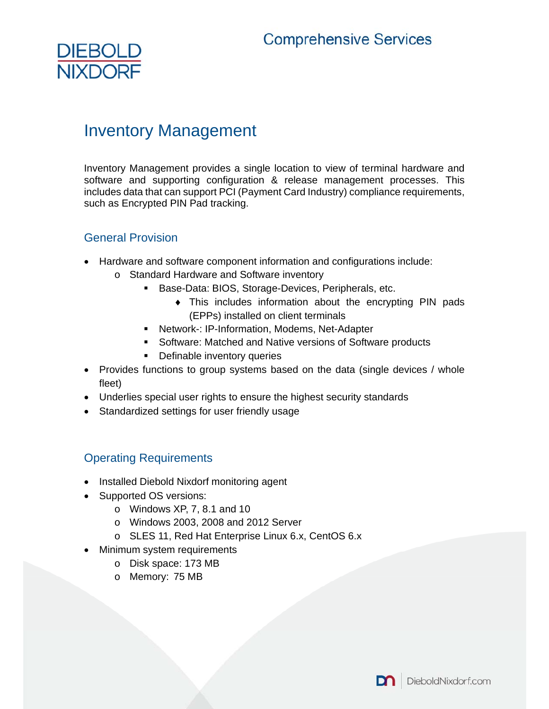

# Inventory Management

Inventory Management provides a single location to view of terminal hardware and software and supporting configuration & release management processes. This includes data that can support PCI (Payment Card Industry) compliance requirements, such as Encrypted PIN Pad tracking.

# General Provision

- Hardware and software component information and configurations include:
	- o Standard Hardware and Software inventory
		- **Base-Data: BIOS, Storage-Devices, Peripherals, etc.** 
			- This includes information about the encrypting PIN pads (EPPs) installed on client terminals
		- Network-: IP-Information, Modems, Net-Adapter
		- Software: Matched and Native versions of Software products
		- **•** Definable inventory queries
- Provides functions to group systems based on the data (single devices / whole fleet)
- Underlies special user rights to ensure the highest security standards
- Standardized settings for user friendly usage

# Operating Requirements

- Installed Diebold Nixdorf monitoring agent
- Supported OS versions:
	- o Windows XP, 7, 8.1 and 10
	- o Windows 2003, 2008 and 2012 Server
	- o SLES 11, Red Hat Enterprise Linux 6.x, CentOS 6.x
- Minimum system requirements
	- o Disk space: 173 MB
	- o Memory: 75 MB